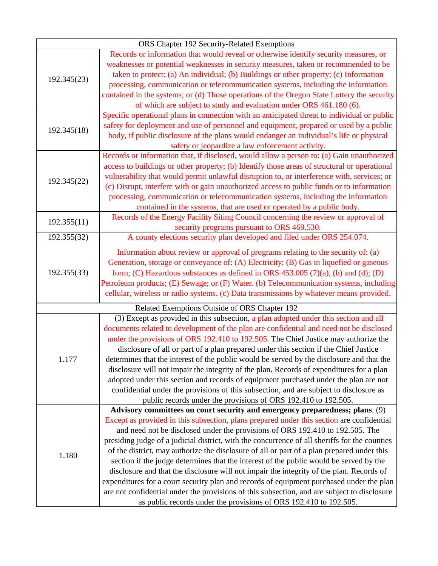| ORS Chapter 192 Security-Related Exemptions |                                                                                                                                                                                                                                                                                                                                                                                                                                                                                                                                                                                                                                                                                                                                                                                                                                                                                                                                                                                                                                                                                                                                                                                                                                                                                                                                                                                                                                                                                                                                                                                                                                                                                                                                                                                                                           |  |
|---------------------------------------------|---------------------------------------------------------------------------------------------------------------------------------------------------------------------------------------------------------------------------------------------------------------------------------------------------------------------------------------------------------------------------------------------------------------------------------------------------------------------------------------------------------------------------------------------------------------------------------------------------------------------------------------------------------------------------------------------------------------------------------------------------------------------------------------------------------------------------------------------------------------------------------------------------------------------------------------------------------------------------------------------------------------------------------------------------------------------------------------------------------------------------------------------------------------------------------------------------------------------------------------------------------------------------------------------------------------------------------------------------------------------------------------------------------------------------------------------------------------------------------------------------------------------------------------------------------------------------------------------------------------------------------------------------------------------------------------------------------------------------------------------------------------------------------------------------------------------------|--|
| 192.345(23)                                 | Records or information that would reveal or otherwise identify security measures, or                                                                                                                                                                                                                                                                                                                                                                                                                                                                                                                                                                                                                                                                                                                                                                                                                                                                                                                                                                                                                                                                                                                                                                                                                                                                                                                                                                                                                                                                                                                                                                                                                                                                                                                                      |  |
|                                             | weaknesses or potential weaknesses in security measures, taken or recommended to be                                                                                                                                                                                                                                                                                                                                                                                                                                                                                                                                                                                                                                                                                                                                                                                                                                                                                                                                                                                                                                                                                                                                                                                                                                                                                                                                                                                                                                                                                                                                                                                                                                                                                                                                       |  |
|                                             | taken to protect: (a) An individual; (b) Buildings or other property; (c) Information                                                                                                                                                                                                                                                                                                                                                                                                                                                                                                                                                                                                                                                                                                                                                                                                                                                                                                                                                                                                                                                                                                                                                                                                                                                                                                                                                                                                                                                                                                                                                                                                                                                                                                                                     |  |
|                                             | processing, communication or telecommunication systems, including the information                                                                                                                                                                                                                                                                                                                                                                                                                                                                                                                                                                                                                                                                                                                                                                                                                                                                                                                                                                                                                                                                                                                                                                                                                                                                                                                                                                                                                                                                                                                                                                                                                                                                                                                                         |  |
|                                             | contained in the systems; or (d) Those operations of the Oregon State Lottery the security                                                                                                                                                                                                                                                                                                                                                                                                                                                                                                                                                                                                                                                                                                                                                                                                                                                                                                                                                                                                                                                                                                                                                                                                                                                                                                                                                                                                                                                                                                                                                                                                                                                                                                                                |  |
|                                             | of which are subject to study and evaluation under ORS 461.180 (6).                                                                                                                                                                                                                                                                                                                                                                                                                                                                                                                                                                                                                                                                                                                                                                                                                                                                                                                                                                                                                                                                                                                                                                                                                                                                                                                                                                                                                                                                                                                                                                                                                                                                                                                                                       |  |
| 192.345(18)                                 | Specific operational plans in connection with an anticipated threat to individual or public                                                                                                                                                                                                                                                                                                                                                                                                                                                                                                                                                                                                                                                                                                                                                                                                                                                                                                                                                                                                                                                                                                                                                                                                                                                                                                                                                                                                                                                                                                                                                                                                                                                                                                                               |  |
|                                             | safety for deployment and use of personnel and equipment, prepared or used by a public                                                                                                                                                                                                                                                                                                                                                                                                                                                                                                                                                                                                                                                                                                                                                                                                                                                                                                                                                                                                                                                                                                                                                                                                                                                                                                                                                                                                                                                                                                                                                                                                                                                                                                                                    |  |
|                                             | body, if public disclosure of the plans would endanger an individual's life or physical                                                                                                                                                                                                                                                                                                                                                                                                                                                                                                                                                                                                                                                                                                                                                                                                                                                                                                                                                                                                                                                                                                                                                                                                                                                                                                                                                                                                                                                                                                                                                                                                                                                                                                                                   |  |
|                                             | safety or jeopardize a law enforcement activity.                                                                                                                                                                                                                                                                                                                                                                                                                                                                                                                                                                                                                                                                                                                                                                                                                                                                                                                                                                                                                                                                                                                                                                                                                                                                                                                                                                                                                                                                                                                                                                                                                                                                                                                                                                          |  |
| 192.345(22)                                 | Records or information that, if disclosed, would allow a person to: (a) Gain unauthorized                                                                                                                                                                                                                                                                                                                                                                                                                                                                                                                                                                                                                                                                                                                                                                                                                                                                                                                                                                                                                                                                                                                                                                                                                                                                                                                                                                                                                                                                                                                                                                                                                                                                                                                                 |  |
|                                             | access to buildings or other property; (b) Identify those areas of structural or operational                                                                                                                                                                                                                                                                                                                                                                                                                                                                                                                                                                                                                                                                                                                                                                                                                                                                                                                                                                                                                                                                                                                                                                                                                                                                                                                                                                                                                                                                                                                                                                                                                                                                                                                              |  |
|                                             | vulnerability that would permit unlawful disruption to, or interference with, services; or                                                                                                                                                                                                                                                                                                                                                                                                                                                                                                                                                                                                                                                                                                                                                                                                                                                                                                                                                                                                                                                                                                                                                                                                                                                                                                                                                                                                                                                                                                                                                                                                                                                                                                                                |  |
|                                             | (c) Disrupt, interfere with or gain unauthorized access to public funds or to information                                                                                                                                                                                                                                                                                                                                                                                                                                                                                                                                                                                                                                                                                                                                                                                                                                                                                                                                                                                                                                                                                                                                                                                                                                                                                                                                                                                                                                                                                                                                                                                                                                                                                                                                 |  |
|                                             | processing, communication or telecommunication systems, including the information                                                                                                                                                                                                                                                                                                                                                                                                                                                                                                                                                                                                                                                                                                                                                                                                                                                                                                                                                                                                                                                                                                                                                                                                                                                                                                                                                                                                                                                                                                                                                                                                                                                                                                                                         |  |
|                                             | contained in the systems, that are used or operated by a public body.<br>Records of the Energy Facility Siting Council concerning the review or approval of                                                                                                                                                                                                                                                                                                                                                                                                                                                                                                                                                                                                                                                                                                                                                                                                                                                                                                                                                                                                                                                                                                                                                                                                                                                                                                                                                                                                                                                                                                                                                                                                                                                               |  |
| 192.355(11)                                 | security programs pursuant to ORS 469.530.                                                                                                                                                                                                                                                                                                                                                                                                                                                                                                                                                                                                                                                                                                                                                                                                                                                                                                                                                                                                                                                                                                                                                                                                                                                                                                                                                                                                                                                                                                                                                                                                                                                                                                                                                                                |  |
| 192.355(32)                                 | A county elections security plan developed and filed under ORS 254.074.                                                                                                                                                                                                                                                                                                                                                                                                                                                                                                                                                                                                                                                                                                                                                                                                                                                                                                                                                                                                                                                                                                                                                                                                                                                                                                                                                                                                                                                                                                                                                                                                                                                                                                                                                   |  |
|                                             |                                                                                                                                                                                                                                                                                                                                                                                                                                                                                                                                                                                                                                                                                                                                                                                                                                                                                                                                                                                                                                                                                                                                                                                                                                                                                                                                                                                                                                                                                                                                                                                                                                                                                                                                                                                                                           |  |
|                                             | Information about review or approval of programs relating to the security of: (a)                                                                                                                                                                                                                                                                                                                                                                                                                                                                                                                                                                                                                                                                                                                                                                                                                                                                                                                                                                                                                                                                                                                                                                                                                                                                                                                                                                                                                                                                                                                                                                                                                                                                                                                                         |  |
| 192.355(33)                                 | Generation, storage or conveyance of: (A) Electricity; (B) Gas in liquefied or gaseous                                                                                                                                                                                                                                                                                                                                                                                                                                                                                                                                                                                                                                                                                                                                                                                                                                                                                                                                                                                                                                                                                                                                                                                                                                                                                                                                                                                                                                                                                                                                                                                                                                                                                                                                    |  |
|                                             | form; (C) Hazardous substances as defined in ORS 453.005 $(7)(a)$ , (b) and (d); (D)                                                                                                                                                                                                                                                                                                                                                                                                                                                                                                                                                                                                                                                                                                                                                                                                                                                                                                                                                                                                                                                                                                                                                                                                                                                                                                                                                                                                                                                                                                                                                                                                                                                                                                                                      |  |
|                                             | Petroleum products; (E) Sewage; or (F) Water. (b) Telecommunication systems, including                                                                                                                                                                                                                                                                                                                                                                                                                                                                                                                                                                                                                                                                                                                                                                                                                                                                                                                                                                                                                                                                                                                                                                                                                                                                                                                                                                                                                                                                                                                                                                                                                                                                                                                                    |  |
|                                             |                                                                                                                                                                                                                                                                                                                                                                                                                                                                                                                                                                                                                                                                                                                                                                                                                                                                                                                                                                                                                                                                                                                                                                                                                                                                                                                                                                                                                                                                                                                                                                                                                                                                                                                                                                                                                           |  |
|                                             | Related Exemptions Outside of ORS Chapter 192                                                                                                                                                                                                                                                                                                                                                                                                                                                                                                                                                                                                                                                                                                                                                                                                                                                                                                                                                                                                                                                                                                                                                                                                                                                                                                                                                                                                                                                                                                                                                                                                                                                                                                                                                                             |  |
| 1.177                                       |                                                                                                                                                                                                                                                                                                                                                                                                                                                                                                                                                                                                                                                                                                                                                                                                                                                                                                                                                                                                                                                                                                                                                                                                                                                                                                                                                                                                                                                                                                                                                                                                                                                                                                                                                                                                                           |  |
|                                             |                                                                                                                                                                                                                                                                                                                                                                                                                                                                                                                                                                                                                                                                                                                                                                                                                                                                                                                                                                                                                                                                                                                                                                                                                                                                                                                                                                                                                                                                                                                                                                                                                                                                                                                                                                                                                           |  |
|                                             |                                                                                                                                                                                                                                                                                                                                                                                                                                                                                                                                                                                                                                                                                                                                                                                                                                                                                                                                                                                                                                                                                                                                                                                                                                                                                                                                                                                                                                                                                                                                                                                                                                                                                                                                                                                                                           |  |
|                                             |                                                                                                                                                                                                                                                                                                                                                                                                                                                                                                                                                                                                                                                                                                                                                                                                                                                                                                                                                                                                                                                                                                                                                                                                                                                                                                                                                                                                                                                                                                                                                                                                                                                                                                                                                                                                                           |  |
|                                             |                                                                                                                                                                                                                                                                                                                                                                                                                                                                                                                                                                                                                                                                                                                                                                                                                                                                                                                                                                                                                                                                                                                                                                                                                                                                                                                                                                                                                                                                                                                                                                                                                                                                                                                                                                                                                           |  |
|                                             |                                                                                                                                                                                                                                                                                                                                                                                                                                                                                                                                                                                                                                                                                                                                                                                                                                                                                                                                                                                                                                                                                                                                                                                                                                                                                                                                                                                                                                                                                                                                                                                                                                                                                                                                                                                                                           |  |
|                                             |                                                                                                                                                                                                                                                                                                                                                                                                                                                                                                                                                                                                                                                                                                                                                                                                                                                                                                                                                                                                                                                                                                                                                                                                                                                                                                                                                                                                                                                                                                                                                                                                                                                                                                                                                                                                                           |  |
|                                             |                                                                                                                                                                                                                                                                                                                                                                                                                                                                                                                                                                                                                                                                                                                                                                                                                                                                                                                                                                                                                                                                                                                                                                                                                                                                                                                                                                                                                                                                                                                                                                                                                                                                                                                                                                                                                           |  |
|                                             |                                                                                                                                                                                                                                                                                                                                                                                                                                                                                                                                                                                                                                                                                                                                                                                                                                                                                                                                                                                                                                                                                                                                                                                                                                                                                                                                                                                                                                                                                                                                                                                                                                                                                                                                                                                                                           |  |
| 1.180                                       |                                                                                                                                                                                                                                                                                                                                                                                                                                                                                                                                                                                                                                                                                                                                                                                                                                                                                                                                                                                                                                                                                                                                                                                                                                                                                                                                                                                                                                                                                                                                                                                                                                                                                                                                                                                                                           |  |
|                                             |                                                                                                                                                                                                                                                                                                                                                                                                                                                                                                                                                                                                                                                                                                                                                                                                                                                                                                                                                                                                                                                                                                                                                                                                                                                                                                                                                                                                                                                                                                                                                                                                                                                                                                                                                                                                                           |  |
|                                             |                                                                                                                                                                                                                                                                                                                                                                                                                                                                                                                                                                                                                                                                                                                                                                                                                                                                                                                                                                                                                                                                                                                                                                                                                                                                                                                                                                                                                                                                                                                                                                                                                                                                                                                                                                                                                           |  |
|                                             |                                                                                                                                                                                                                                                                                                                                                                                                                                                                                                                                                                                                                                                                                                                                                                                                                                                                                                                                                                                                                                                                                                                                                                                                                                                                                                                                                                                                                                                                                                                                                                                                                                                                                                                                                                                                                           |  |
|                                             |                                                                                                                                                                                                                                                                                                                                                                                                                                                                                                                                                                                                                                                                                                                                                                                                                                                                                                                                                                                                                                                                                                                                                                                                                                                                                                                                                                                                                                                                                                                                                                                                                                                                                                                                                                                                                           |  |
|                                             |                                                                                                                                                                                                                                                                                                                                                                                                                                                                                                                                                                                                                                                                                                                                                                                                                                                                                                                                                                                                                                                                                                                                                                                                                                                                                                                                                                                                                                                                                                                                                                                                                                                                                                                                                                                                                           |  |
|                                             |                                                                                                                                                                                                                                                                                                                                                                                                                                                                                                                                                                                                                                                                                                                                                                                                                                                                                                                                                                                                                                                                                                                                                                                                                                                                                                                                                                                                                                                                                                                                                                                                                                                                                                                                                                                                                           |  |
|                                             |                                                                                                                                                                                                                                                                                                                                                                                                                                                                                                                                                                                                                                                                                                                                                                                                                                                                                                                                                                                                                                                                                                                                                                                                                                                                                                                                                                                                                                                                                                                                                                                                                                                                                                                                                                                                                           |  |
|                                             |                                                                                                                                                                                                                                                                                                                                                                                                                                                                                                                                                                                                                                                                                                                                                                                                                                                                                                                                                                                                                                                                                                                                                                                                                                                                                                                                                                                                                                                                                                                                                                                                                                                                                                                                                                                                                           |  |
|                                             | cellular, wireless or radio systems. (c) Data transmissions by whatever means provided.<br>(3) Except as provided in this subsection, a plan adopted under this section and all<br>documents related to development of the plan are confidential and need not be disclosed<br>under the provisions of ORS 192.410 to 192.505. The Chief Justice may authorize the<br>disclosure of all or part of a plan prepared under this section if the Chief Justice<br>determines that the interest of the public would be served by the disclosure and that the<br>disclosure will not impair the integrity of the plan. Records of expenditures for a plan<br>adopted under this section and records of equipment purchased under the plan are not<br>confidential under the provisions of this subsection, and are subject to disclosure as<br>public records under the provisions of ORS 192.410 to 192.505.<br>Advisory committees on court security and emergency preparedness; plans. (9)<br>Except as provided in this subsection, plans prepared under this section are confidential<br>and need not be disclosed under the provisions of ORS 192.410 to 192.505. The<br>presiding judge of a judicial district, with the concurrence of all sheriffs for the counties<br>of the district, may authorize the disclosure of all or part of a plan prepared under this<br>section if the judge determines that the interest of the public would be served by the<br>disclosure and that the disclosure will not impair the integrity of the plan. Records of<br>expenditures for a court security plan and records of equipment purchased under the plan<br>are not confidential under the provisions of this subsection, and are subject to disclosure<br>as public records under the provisions of ORS 192.410 to 192.505. |  |